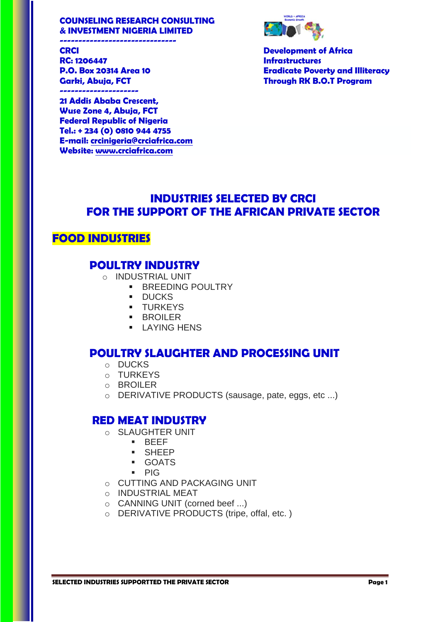#### **COUNSELING RESEARCH CONSULTING & INVESTMENT NIGERIA LIMITED**



**CRCI Development of Africa P.O. Box 20314 Area 10 Eradicate Poverty and Illiteracy Garki, Abuja, FCT Through RK B.O.T Program**

**RC: 1206447 Infrastructures ---------------------** 

**-------------------------------**

**21 Addis Ababa Crescent, Wuse Zone 4, Abuja, FCT Federal Republic of Nigeria Tel.: + 234 (0) 0810 944 4755 E-mail: [crcinigeria@crciafrica.com](mailto:crcinigeria@crciafrica.com) Website: [www.crciafrica.com](http://www.crciafrica.com/)**

# **INDUSTRIES SELECTED BY CRCI FOR THE SUPPORT OF THE AFRICAN PRIVATE SECTOR**

## **FOOD INDUSTRIES**

### **POULTRY INDUSTRY**

- o INDUSTRIAL UNIT
	- **BREEDING POULTRY**
	- **DUCKS**
	- **TURKEYS**
	- **BROILER**
	- **LAYING HENS**

### **POULTRY SLAUGHTER AND PROCESSING UNIT**

- o DUCKS
- o TURKEYS
- o BROILER
- o DERIVATIVE PRODUCTS (sausage, pate, eggs, etc ...)

### **RED MEAT INDUSTRY**

- o SLAUGHTER UNIT
	- **BEFF**
	- SHEEP
	- GOATS
	- $PIG$
- o CUTTING AND PACKAGING UNIT
- o INDUSTRIAL MEAT
- o CANNING UNIT (corned beef ...)
- o DERIVATIVE PRODUCTS (tripe, offal, etc. )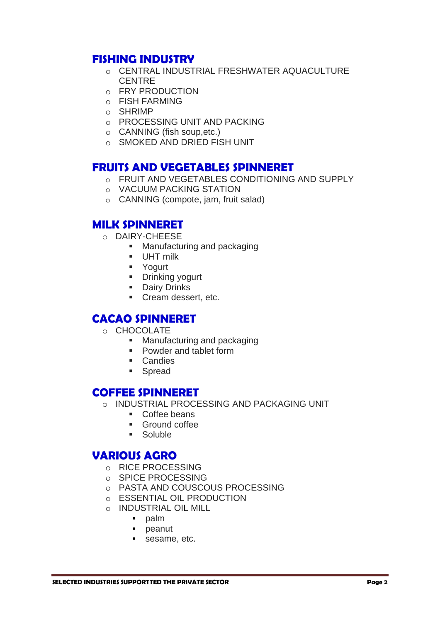## **FISHING INDUSTRY**

- o CENTRAL INDUSTRIAL FRESHWATER AQUACULTURE CENTRE
- o FRY PRODUCTION
- o FISH FARMING
- o SHRIMP
- o PROCESSING UNIT AND PACKING
- o CANNING (fish soup,etc.)
- o SMOKED AND DRIED FISH UNIT

### **FRUITS AND VEGETABLES SPINNERET**

- o FRUIT AND VEGETABLES CONDITIONING AND SUPPLY
- o VACUUM PACKING STATION
- o CANNING (compote, jam, fruit salad)

## **MILK SPINNERET**

- o DAIRY-CHEESE
	- **Manufacturing and packaging**
	- **UHT** milk
	- **•** Yogurt
	- **Drinking yogurt**
	- **Dairy Drinks**
	- Cream dessert, etc.

## **CACAO SPINNERET**

- o CHOCOLATE
	- **Manufacturing and packaging**
	- Powder and tablet form
	- **Candies**
	- **Spread**

## **COFFEE SPINNERET**

- o INDUSTRIAL PROCESSING AND PACKAGING UNIT
	- Coffee beans
	- **Ground coffee**
	- Soluble

## **VARIOUS AGRO**

- o RICE PROCESSING
- o SPICE PROCESSING
- o PASTA AND COUSCOUS PROCESSING
- o ESSENTIAL OIL PRODUCTION
- o INDUSTRIAL OIL MILL
	- **palm**
	- peanut
	- sesame, etc.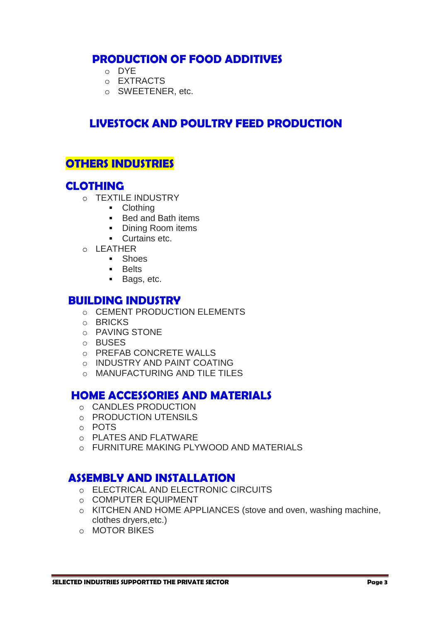## **PRODUCTION OF FOOD ADDITIVES**

- o DYE
- o EXTRACTS
- o SWEETENER, etc.

# **LIVESTOCK AND POULTRY FEED PRODUCTION**

## **OTHERS INDUSTRIES**

## **CLOTHING**

- o TEXTILE INDUSTRY
	- Clothing
	- Bed and Bath items
	- Dining Room items
	- **Curtains etc.**
- $O$  LEATHER
	- **Shoes**
	- **Belts**
	- **Bags, etc.**

#### **BUILDING INDUSTRY**

- o CEMENT PRODUCTION ELEMENTS
- o BRICKS
- o PAVING STONE
- o BUSES
- o PREFAB CONCRETE WALLS
- o INDUSTRY AND PAINT COATING
- o MANUFACTURING AND TILE TILES

## **HOME ACCESSORIES AND MATERIALS**

- o CANDLES PRODUCTION
- o PRODUCTION UTENSILS
- o POTS
- o PLATES AND FLATWARE
- o FURNITURE MAKING PLYWOOD AND MATERIALS

### **ASSEMBLY AND INSTALLATION**

- o ELECTRICAL AND ELECTRONIC CIRCUITS
- o COMPUTER EQUIPMENT
- o KITCHEN AND HOME APPLIANCES (stove and oven, washing machine, clothes dryers,etc.)
- o MOTOR BIKES